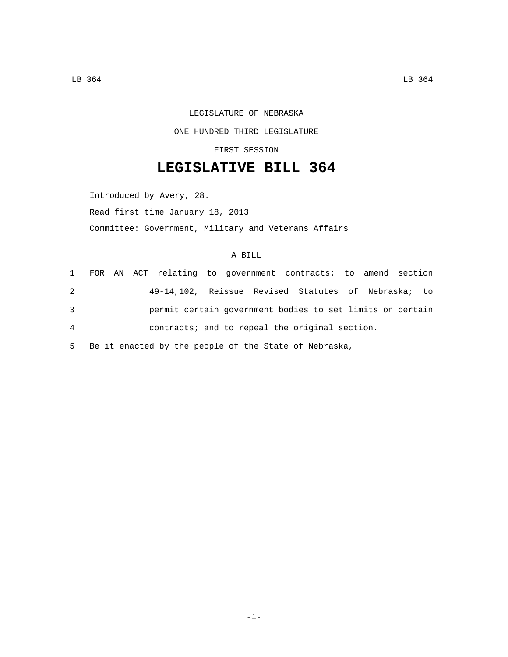## LEGISLATURE OF NEBRASKA ONE HUNDRED THIRD LEGISLATURE

FIRST SESSION

## **LEGISLATIVE BILL 364**

Introduced by Avery, 28. Read first time January 18, 2013 Committee: Government, Military and Veterans Affairs

## A BILL

|   |  | 1 FOR AN ACT relating to government contracts; to amend section |  |  |  |  |  |
|---|--|-----------------------------------------------------------------|--|--|--|--|--|
| 2 |  | 49-14,102, Reissue Revised Statutes of Nebraska; to             |  |  |  |  |  |
| 3 |  | permit certain government bodies to set limits on certain       |  |  |  |  |  |
| 4 |  | contracts; and to repeal the original section.                  |  |  |  |  |  |
|   |  |                                                                 |  |  |  |  |  |

5 Be it enacted by the people of the State of Nebraska,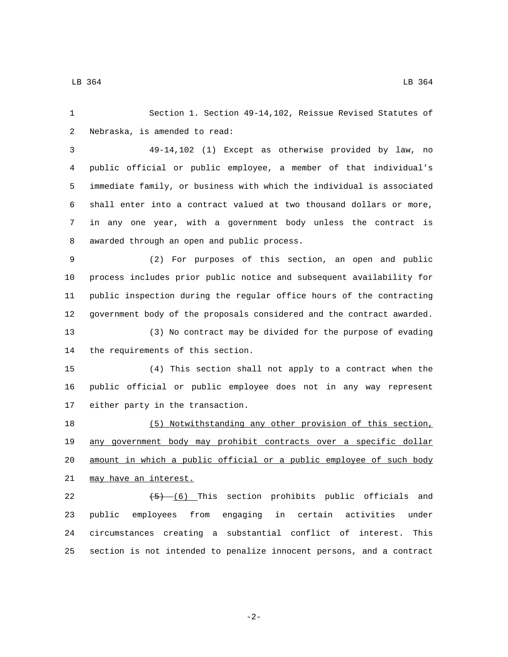Section 1. Section 49-14,102, Reissue Revised Statutes of 2 Nebraska, is amended to read:

 49-14,102 (1) Except as otherwise provided by law, no public official or public employee, a member of that individual's immediate family, or business with which the individual is associated shall enter into a contract valued at two thousand dollars or more, in any one year, with a government body unless the contract is 8 awarded through an open and public process.

 (2) For purposes of this section, an open and public process includes prior public notice and subsequent availability for public inspection during the regular office hours of the contracting government body of the proposals considered and the contract awarded. (3) No contract may be divided for the purpose of evading 14 the requirements of this section.

 (4) This section shall not apply to a contract when the public official or public employee does not in any way represent 17 either party in the transaction.

 (5) Notwithstanding any other provision of this section, any government body may prohibit contracts over a specific dollar amount in which a public official or a public employee of such body 21 may have an interest.

 $(5)$   $(6)$  This section prohibits public officials and public employees from engaging in certain activities under circumstances creating a substantial conflict of interest. This section is not intended to penalize innocent persons, and a contract

-2-